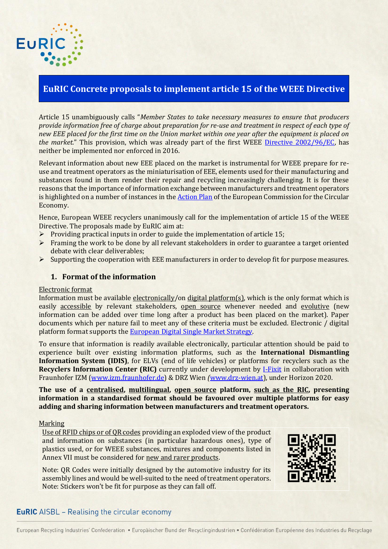# **EuRIC Concrete proposals to implement article 15 of the WEEE Directive**

Article 15 unambiguously calls "*Member States to take necessary measures to ensure that producers provide information free of charge about preparation for re-use and treatment in respect of each type of new EEE placed for the first time on the Union market within one year after the equipment is placed on the market.*" This provision, which was already part of the first WEEE [Directive 2002/96/EC,](http://eur-lex.europa.eu/legal-content/EN/TXT/HTML/?uri=CELEX:32002L0096&from=FR) has neither be implemented nor enforced in 2016.

Relevant information about new EEE placed on the market is instrumental for WEEE prepare for reuse and treatment operators as the miniaturisation of EEE, elements used for their manufacturing and substances found in them render their repair and recycling increasingly challenging. It is for these reasons that the importance of information exchange between manufacturers and treatment operators is highlighted on a number of instances in th[e Action Plan](http://eur-lex.europa.eu/legal-content/EN/TXT/?uri=CELEX:52015DC0614) of the European Commission for the Circular Economy.

Hence, European WEEE recyclers unanimously call for the implementation of article 15 of the WEEE Directive. The proposals made by EuRIC aim at:

- $\triangleright$  Providing practical inputs in order to guide the implementation of article 15;
- $\triangleright$  Framing the work to be done by all relevant stakeholders in order to guarantee a target oriented debate with clear deliverables;
- $\triangleright$  Supporting the cooperation with EEE manufacturers in order to develop fit for purpose measures.

### **1. Format of the information**

#### Electronic format

EUR

Information must be available electronically/on digital platform(s), which is the only format which is easily accessible by relevant stakeholders, open source whenever needed and evolutive (new information can be added over time long after a product has been placed on the market). Paper documents which per nature fail to meet any of these criteria must be excluded. Electronic / digital platform format supports the [European Digital Single Market Strategy.](http://ec.europa.eu/priorities/digital-single-market_en)

To ensure that information is readily available electronically, particular attention should be paid to experience built over existing information platforms, such as the **International Dismantling Information System (IDIS)**, for ELVs (end of life vehicles) or platforms for recyclers such as the **Recyclers Information Center (RIC)** currently under development by [I-Fixit](https://www.ifixit.com/) in collaboration with Fraunhofer IZM (www.izm.fraunhofer.de) & DRZ Wien *(*[www.drz-wien.at\)](http://www.drz-wien.at/), under Horizon 2020.

**The use of a centralised, multilingual, open source platform, such as the RIC, presenting information in a standardised format should be favoured over multiple platforms for easy adding and sharing information between manufacturers and treatment operators.**

#### **Marking**

 Use of RFID chips or of QR codes providing an exploded view of the product and information on substances (in particular hazardous ones), type of plastics used, or for WEEE substances, mixtures and components listed in Annex VII must be considered for new and rarer products.

Note: QR Codes were initially designed by the automotive industry for its assembly lines and would be well-suited to the need of treatment operators. Note: Stickers won't be fit for purpose as they can fall off.



# **EuRIC** AISBL - Realising the circular economy